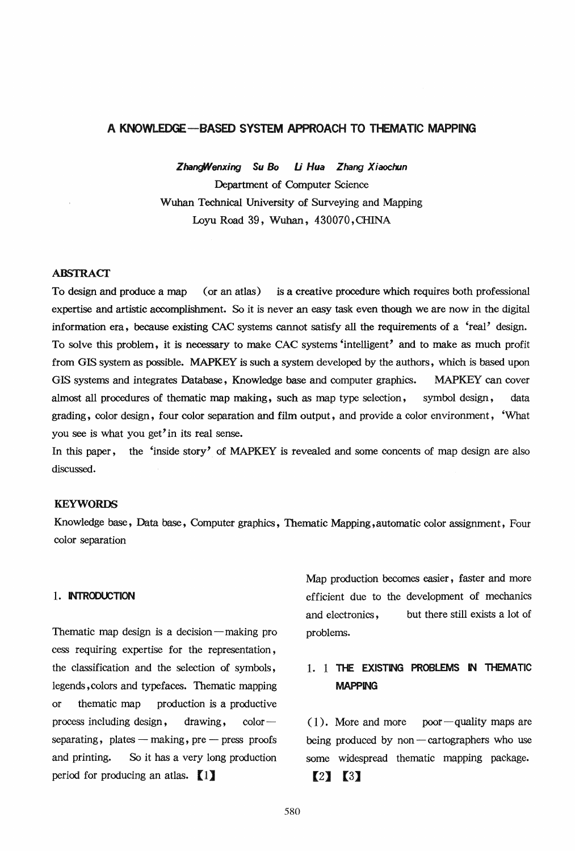### A **KNOWLEDGE** -BASED SYSTEM APPROACH TO THEMATIC MAPPING

*Zhardllenxing Su* So *U Hua Zhang X iaochm*  Department of Computer Science Wuhan Technical University of Surveying and Mapping Loyu Road 39, Wuhan, 430070, CHINA

#### ABSTRACT

To design and produce a map (or an atlas) is a creative procedure which requires both professional expertise and artistic accomplishment. So it is never an easy task even though we are now in the digital information era, because existing CAC systems cannot satisfy all the requirements of a 'real' design. To solve this problem, it is necessary to make CAC systems 'intelligent' and to make as much profit from GIS system as possible. MAPKEY is such a system developed by the authors, which is based upon GIS systems and integrates Database, Knowledge base and computer graphics. MAPKEY can cover almost all procedures of thematic map making, such as map type selection, symbol design, data grading, color design, four color separation and film output, and provide a color environment, 'What you see is what you get'in its real sense.

In this paper, the 'inside story' of MAPKEY is revealed and some concents of map design are also discussed.

## KEYWORDS

Knowledge base, Data base., Computer graphics, Thematic Mapping, automatic color assignment, Four color separation

#### 1. INTRODUCTION

Thematic map design is a decision  $-$  making pro cess requiring expertise for the representation, the classification and the selection of symbols, legends, colors and typefaces. Thematic mapping or thematic map production is a productive process including design, drawing,  $color$  $separating, plates - making, pre - press proofs$ and printing. So it has a very long production period for producing an atlas.  $\begin{bmatrix} 1 \end{bmatrix}$ 

Map production becomes easier, faster and more efficient due to the development of mechanics and electronics, problems. but there still exists a lot of

# 1. 1 THE EXISTING PROBLEMS IN THEMATIC MAPPING

 $(1)$ . More and more poor-quality maps are being produced by non  $-$  cartographers who use some widespread thematic mapping package.

## $[2] [3]$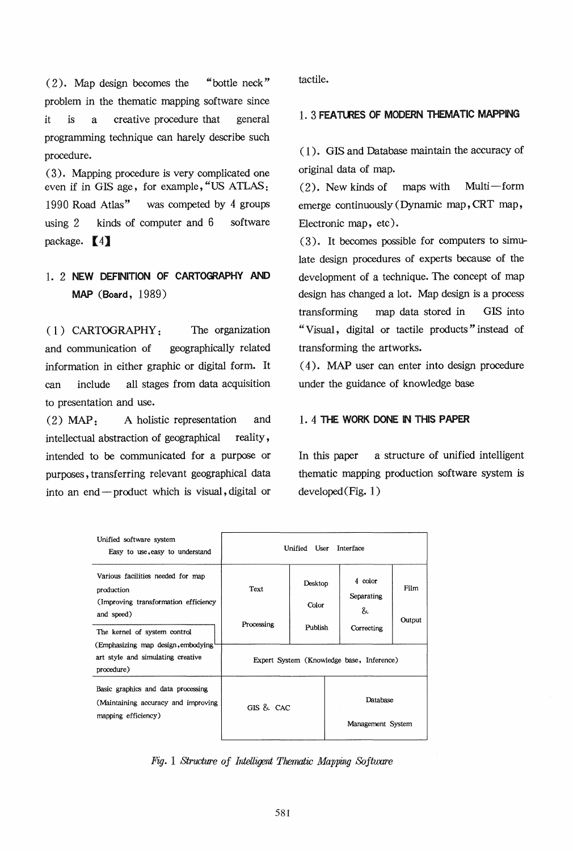( 2). Map design becomes the "bottle neck" problem in the thematic mapping software since it is a creative procedure that general programming technique can harely describe such procedure.

(3). Mapping procedure is very complicated one even if in GIS age, for example, "US ATLAS: 1990 Road Atlas" was competed by 4 groups using 2 kinds of computer and 6 software package.  $\left(4\right)$ 

# 1. 2 NEW DEFINITION OF CARTOGRAPHY AND MAP (Board, 1989)

( 1) CARTOGRAPHY: The organization and communication of geographically related information in either graphic or digital form. It can include all stages from data acquisition to presentation and use.

(2) MAP: A holistic representation and intellectual abstraction of geographical reality, intended to be communicated for a purpose or purposes, transferring relevant geographical data into an end-product which is visual, digital or

tactile.

## 1. 3 FEATURES OF MODERN THEMATIC MAPPING

( 1 ). GIS and Database maintain the accuracy of original data of map.

 $(2)$ . New kinds of maps with Multi-form emerge continuously (Dynamic map, CRT map, Electronic map, etc).

 $(3)$ . It becomes possible for computers to simulate design procedures of experts because of the development of a technique. The concept of map design has changed a lot. Map design is a process transforming map data stored in GIS into "Visual, digital or tactile products" instead of transforming the artworks.

( 4 ). MAP user can enter into design procedure under the guidance of knowledge base

### 1. 4 THE WORK DONE IN THIS PAPER

In this paper a structure of unified intelligent thematic mapping production software system is developed (Fig. 1)

| Unified software system<br>Easy to use, easy to understand                                                                            | Interface<br>Unified User                 |                             |                               |                                          |                |
|---------------------------------------------------------------------------------------------------------------------------------------|-------------------------------------------|-----------------------------|-------------------------------|------------------------------------------|----------------|
| Various facilities needed for map<br>production<br>(Improving transformation efficiency<br>and speed)<br>The kernel of system control | Text<br>Processing                        | Desktop<br>Color<br>Publish |                               | 4 color<br>Separating<br>&<br>Correcting | Film<br>Output |
| (Emphasizing map design, embodying<br>art style and simulating creative<br>procedure)                                                 | Expert System (Knowledge base, Inference) |                             |                               |                                          |                |
| Basic graphics and data processing<br>(Maintaining accuracy and improving<br>mapping efficiency)                                      | GIS & CAC                                 |                             | Database<br>Management System |                                          |                |

*Fig. 1 Structure of Intelligent Thematic Mapping Softuxre*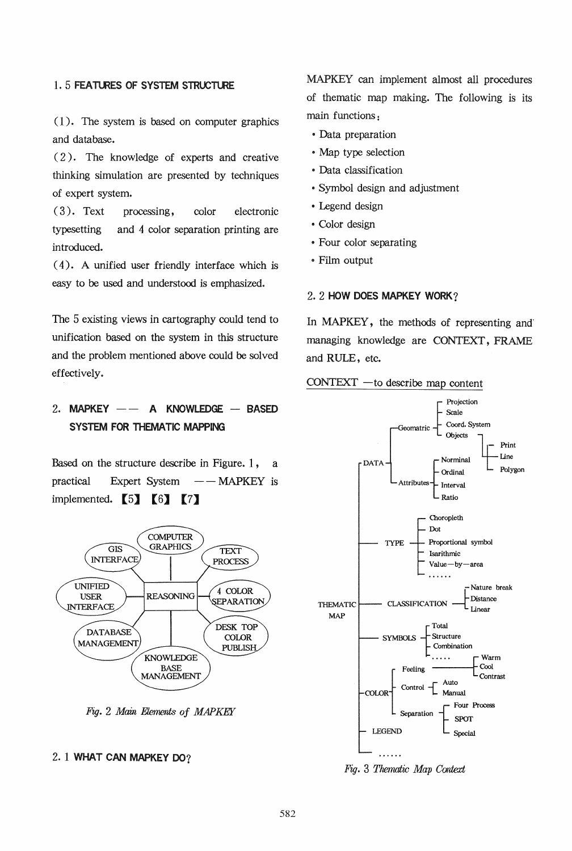## 1.5 FEATURES OF SYSTEM STRUCTURE

 $(1)$ . The system is based on computer graphics and database.

( 2). The knowledge of experts and creative thinking simulation are presented by techniques of expert system.

(3). Text processing, color electronic typesetting and 4 color separation printing are introduced.

 $(4)$ . A unified user friendly interface which is easy to be used and understood is emphasized.

The 5 existing views in cartography could tend to unification based on the system in this structure and the problem mentioned above could be solved effectively.

# 2. MAPKEY  $--$  A KNOWLEDGE  $-$  BASED SYSTEM FOR THEMATIC MAPPING

Based on the structure describe in Figure.  $1$ , a practical Expert System - - MAPKEY is implemented.  $\begin{bmatrix} 5 \end{bmatrix}$   $\begin{bmatrix} 6 \end{bmatrix}$   $\begin{bmatrix} 7 \end{bmatrix}$ 



*Fig.* 2 *Main Elements of MAPKEY* 

#### 2. 1 WHAT CAN MAPKEY OO?

MAPKEY can implement almost all procedures of thematic map making. The following is its main functions:

- Data preparation
- .. Map type selection
- ., Data classification
- .. Symbol design and adjustment
- Legend design
- Color design
- Four color separating
- Film output

#### 2.2 HOW DOES MAPKEY WORK?

In MAPKEY, the methods of representing and' managing knowledge are CONTEXT, FRAME and RULE, etc.





*Fig.* 3 *Thematic Map Context*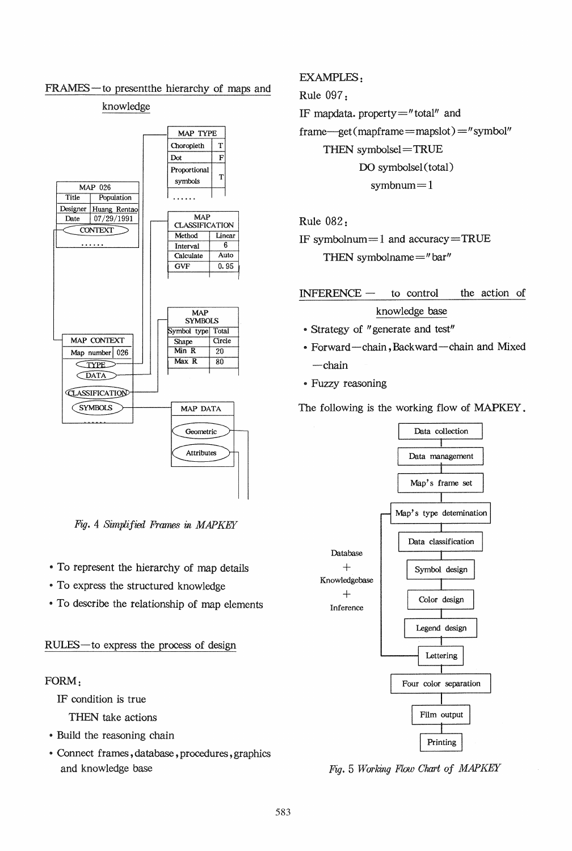

# FRAMES-to present the hierarchy of maps and

knowledge

*Fig.* 4 *Simplified Frames* m *MAPKEY* 

- To represent the hierarchy of map details
- To express the structured knowledge
- To describe the relationship of map elements

## RULES-to express the process of design

## FORM:

IF condition is true

THEN take actions

- Build the reasoning chain
- .. Connect frames, database, procedures, graphics and knowledge base

## EXAMPLES:

Rule 097:

IF mapdata. property="total" and  $frame—get (mapframe = mapslot) = "symbol"$ THEN symbolsel=TRUE DO symbolsel (total)  $symbnum=1$ 

## Rule 082:

IF symbolnum $=$ 1 and accuracy $=$ TRUE THEN symbolname $=$ " bar"

 $INFERENCE -$  to control the action of knowledge base

- Strategy of "generate and test"
- Forward-chain, Backward-chain and Mixed -chain
- Fuzzy reasoning

The following is the working flow of MAPKEY.



*Fig.* 5 *Working Flow Chart of MAPKEY*